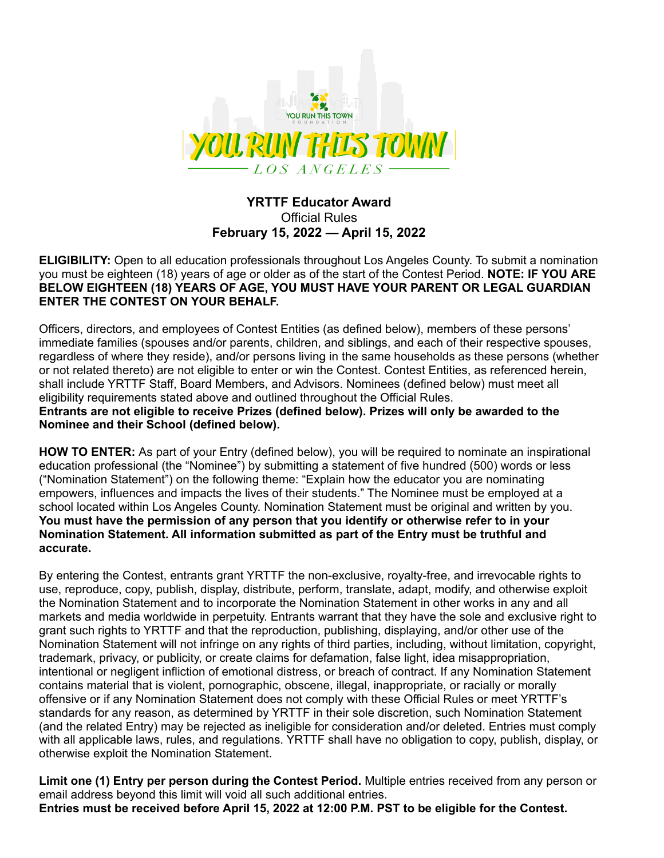

## **YRTTF Educator Award** Official Rules **February 15, 2022 — April 15, 2022**

**ELIGIBILITY:** Open to all education professionals throughout Los Angeles County. To submit a nomination you must be eighteen (18) years of age or older as of the start of the Contest Period. **NOTE: IF YOU ARE BELOW EIGHTEEN (18) YEARS OF AGE, YOU MUST HAVE YOUR PARENT OR LEGAL GUARDIAN ENTER THE CONTEST ON YOUR BEHALF.**

Officers, directors, and employees of Contest Entities (as defined below), members of these persons' immediate families (spouses and/or parents, children, and siblings, and each of their respective spouses, regardless of where they reside), and/or persons living in the same households as these persons (whether or not related thereto) are not eligible to enter or win the Contest. Contest Entities, as referenced herein, shall include YRTTF Staff, Board Members, and Advisors. Nominees (defined below) must meet all eligibility requirements stated above and outlined throughout the Official Rules. **Entrants are not eligible to receive Prizes (defined below). Prizes will only be awarded to the Nominee and their School (defined below).**

**HOW TO ENTER:** As part of your Entry (defined below), you will be required to nominate an inspirational education professional (the "Nominee") by submitting a statement of five hundred (500) words or less ("Nomination Statement") on the following theme: "Explain how the educator you are nominating empowers, influences and impacts the lives of their students." The Nominee must be employed at a school located within Los Angeles County. Nomination Statement must be original and written by you. **You must have the permission of any person that you identify or otherwise refer to in your Nomination Statement. All information submitted as part of the Entry must be truthful and accurate.**

By entering the Contest, entrants grant YRTTF the non-exclusive, royalty-free, and irrevocable rights to use, reproduce, copy, publish, display, distribute, perform, translate, adapt, modify, and otherwise exploit the Nomination Statement and to incorporate the Nomination Statement in other works in any and all markets and media worldwide in perpetuity. Entrants warrant that they have the sole and exclusive right to grant such rights to YRTTF and that the reproduction, publishing, displaying, and/or other use of the Nomination Statement will not infringe on any rights of third parties, including, without limitation, copyright, trademark, privacy, or publicity, or create claims for defamation, false light, idea misappropriation, intentional or negligent infliction of emotional distress, or breach of contract. If any Nomination Statement contains material that is violent, pornographic, obscene, illegal, inappropriate, or racially or morally offensive or if any Nomination Statement does not comply with these Official Rules or meet YRTTF's standards for any reason, as determined by YRTTF in their sole discretion, such Nomination Statement (and the related Entry) may be rejected as ineligible for consideration and/or deleted. Entries must comply with all applicable laws, rules, and regulations. YRTTF shall have no obligation to copy, publish, display, or otherwise exploit the Nomination Statement.

**Limit one (1) Entry per person during the Contest Period.** Multiple entries received from any person or email address beyond this limit will void all such additional entries. **Entries must be received before April 15, 2022 at 12:00 P.M. PST to be eligible for the Contest.**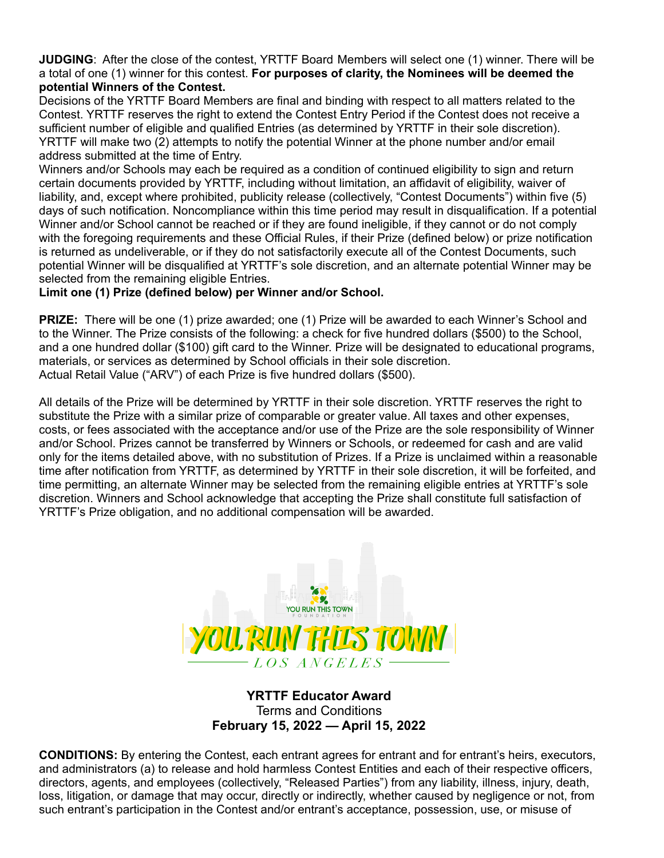**JUDGING**: After the close of the contest, YRTTF Board Members will select one (1) winner. There will be a total of one (1) winner for this contest. **For purposes of clarity, the Nominees will be deemed the potential Winners of the Contest.**

Decisions of the YRTTF Board Members are final and binding with respect to all matters related to the Contest. YRTTF reserves the right to extend the Contest Entry Period if the Contest does not receive a sufficient number of eligible and qualified Entries (as determined by YRTTF in their sole discretion). YRTTF will make two (2) attempts to notify the potential Winner at the phone number and/or email address submitted at the time of Entry.

Winners and/or Schools may each be required as a condition of continued eligibility to sign and return certain documents provided by YRTTF, including without limitation, an affidavit of eligibility, waiver of liability, and, except where prohibited, publicity release (collectively, "Contest Documents") within five (5) days of such notification. Noncompliance within this time period may result in disqualification. If a potential Winner and/or School cannot be reached or if they are found ineligible, if they cannot or do not comply with the foregoing requirements and these Official Rules, if their Prize (defined below) or prize notification is returned as undeliverable, or if they do not satisfactorily execute all of the Contest Documents, such potential Winner will be disqualified at YRTTF's sole discretion, and an alternate potential Winner may be selected from the remaining eligible Entries.

## **Limit one (1) Prize (defined below) per Winner and/or School.**

**PRIZE:** There will be one (1) prize awarded; one (1) Prize will be awarded to each Winner's School and to the Winner. The Prize consists of the following: a check for five hundred dollars (\$500) to the School, and a one hundred dollar (\$100) gift card to the Winner. Prize will be designated to educational programs, materials, or services as determined by School officials in their sole discretion. Actual Retail Value ("ARV") of each Prize is five hundred dollars (\$500).

All details of the Prize will be determined by YRTTF in their sole discretion. YRTTF reserves the right to substitute the Prize with a similar prize of comparable or greater value. All taxes and other expenses, costs, or fees associated with the acceptance and/or use of the Prize are the sole responsibility of Winner and/or School. Prizes cannot be transferred by Winners or Schools, or redeemed for cash and are valid only for the items detailed above, with no substitution of Prizes. If a Prize is unclaimed within a reasonable time after notification from YRTTF, as determined by YRTTF in their sole discretion, it will be forfeited, and time permitting, an alternate Winner may be selected from the remaining eligible entries at YRTTF's sole discretion. Winners and School acknowledge that accepting the Prize shall constitute full satisfaction of YRTTF's Prize obligation, and no additional compensation will be awarded.



## **YRTTF Educator Award** Terms and Conditions **February 15, 2022 — April 15, 2022**

**CONDITIONS:** By entering the Contest, each entrant agrees for entrant and for entrant's heirs, executors, and administrators (a) to release and hold harmless Contest Entities and each of their respective officers, directors, agents, and employees (collectively, "Released Parties") from any liability, illness, injury, death, loss, litigation, or damage that may occur, directly or indirectly, whether caused by negligence or not, from such entrant's participation in the Contest and/or entrant's acceptance, possession, use, or misuse of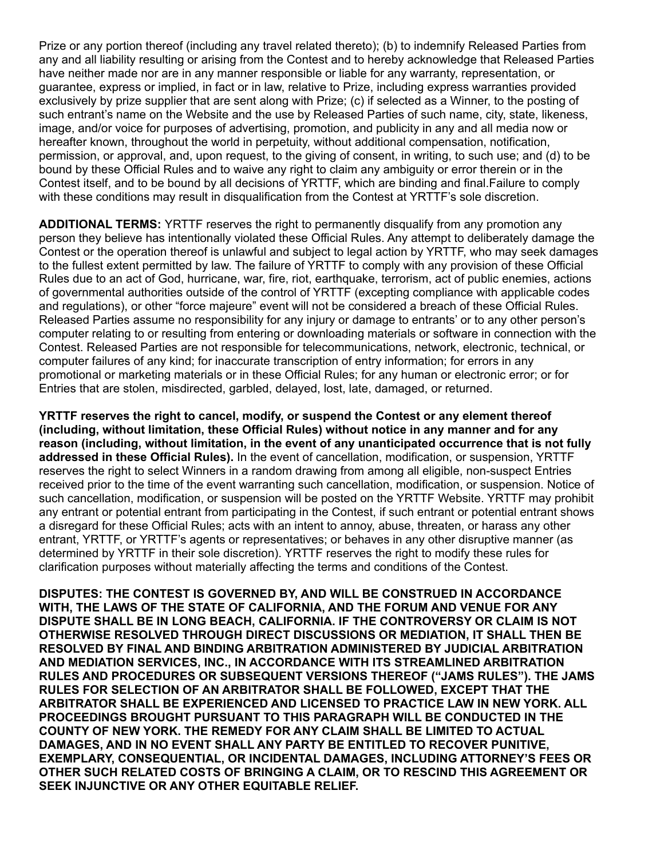Prize or any portion thereof (including any travel related thereto); (b) to indemnify Released Parties from any and all liability resulting or arising from the Contest and to hereby acknowledge that Released Parties have neither made nor are in any manner responsible or liable for any warranty, representation, or guarantee, express or implied, in fact or in law, relative to Prize, including express warranties provided exclusively by prize supplier that are sent along with Prize; (c) if selected as a Winner, to the posting of such entrant's name on the Website and the use by Released Parties of such name, city, state, likeness, image, and/or voice for purposes of advertising, promotion, and publicity in any and all media now or hereafter known, throughout the world in perpetuity, without additional compensation, notification, permission, or approval, and, upon request, to the giving of consent, in writing, to such use; and (d) to be bound by these Official Rules and to waive any right to claim any ambiguity or error therein or in the Contest itself, and to be bound by all decisions of YRTTF, which are binding and final.Failure to comply with these conditions may result in disqualification from the Contest at YRTTF's sole discretion.

**ADDITIONAL TERMS:** YRTTF reserves the right to permanently disqualify from any promotion any person they believe has intentionally violated these Official Rules. Any attempt to deliberately damage the Contest or the operation thereof is unlawful and subject to legal action by YRTTF, who may seek damages to the fullest extent permitted by law. The failure of YRTTF to comply with any provision of these Official Rules due to an act of God, hurricane, war, fire, riot, earthquake, terrorism, act of public enemies, actions of governmental authorities outside of the control of YRTTF (excepting compliance with applicable codes and regulations), or other "force majeure" event will not be considered a breach of these Official Rules. Released Parties assume no responsibility for any injury or damage to entrants' or to any other person's computer relating to or resulting from entering or downloading materials or software in connection with the Contest. Released Parties are not responsible for telecommunications, network, electronic, technical, or computer failures of any kind; for inaccurate transcription of entry information; for errors in any promotional or marketing materials or in these Official Rules; for any human or electronic error; or for Entries that are stolen, misdirected, garbled, delayed, lost, late, damaged, or returned.

**YRTTF reserves the right to cancel, modify, or suspend the Contest or any element thereof (including, without limitation, these Official Rules) without notice in any manner and for any reason (including, without limitation, in the event of any unanticipated occurrence that is not fully addressed in these Official Rules).** In the event of cancellation, modification, or suspension, YRTTF reserves the right to select Winners in a random drawing from among all eligible, non-suspect Entries received prior to the time of the event warranting such cancellation, modification, or suspension. Notice of such cancellation, modification, or suspension will be posted on the YRTTF Website. YRTTF may prohibit any entrant or potential entrant from participating in the Contest, if such entrant or potential entrant shows a disregard for these Official Rules; acts with an intent to annoy, abuse, threaten, or harass any other entrant, YRTTF, or YRTTF's agents or representatives; or behaves in any other disruptive manner (as determined by YRTTF in their sole discretion). YRTTF reserves the right to modify these rules for clarification purposes without materially affecting the terms and conditions of the Contest.

**DISPUTES: THE CONTEST IS GOVERNED BY, AND WILL BE CONSTRUED IN ACCORDANCE WITH, THE LAWS OF THE STATE OF CALIFORNIA, AND THE FORUM AND VENUE FOR ANY DISPUTE SHALL BE IN LONG BEACH, CALIFORNIA. IF THE CONTROVERSY OR CLAIM IS NOT OTHERWISE RESOLVED THROUGH DIRECT DISCUSSIONS OR MEDIATION, IT SHALL THEN BE RESOLVED BY FINAL AND BINDING ARBITRATION ADMINISTERED BY JUDICIAL ARBITRATION AND MEDIATION SERVICES, INC., IN ACCORDANCE WITH ITS STREAMLINED ARBITRATION RULES AND PROCEDURES OR SUBSEQUENT VERSIONS THEREOF ("JAMS RULES"). THE JAMS RULES FOR SELECTION OF AN ARBITRATOR SHALL BE FOLLOWED, EXCEPT THAT THE ARBITRATOR SHALL BE EXPERIENCED AND LICENSED TO PRACTICE LAW IN NEW YORK. ALL PROCEEDINGS BROUGHT PURSUANT TO THIS PARAGRAPH WILL BE CONDUCTED IN THE COUNTY OF NEW YORK. THE REMEDY FOR ANY CLAIM SHALL BE LIMITED TO ACTUAL DAMAGES, AND IN NO EVENT SHALL ANY PARTY BE ENTITLED TO RECOVER PUNITIVE, EXEMPLARY, CONSEQUENTIAL, OR INCIDENTAL DAMAGES, INCLUDING ATTORNEY'S FEES OR OTHER SUCH RELATED COSTS OF BRINGING A CLAIM, OR TO RESCIND THIS AGREEMENT OR SEEK INJUNCTIVE OR ANY OTHER EQUITABLE RELIEF.**